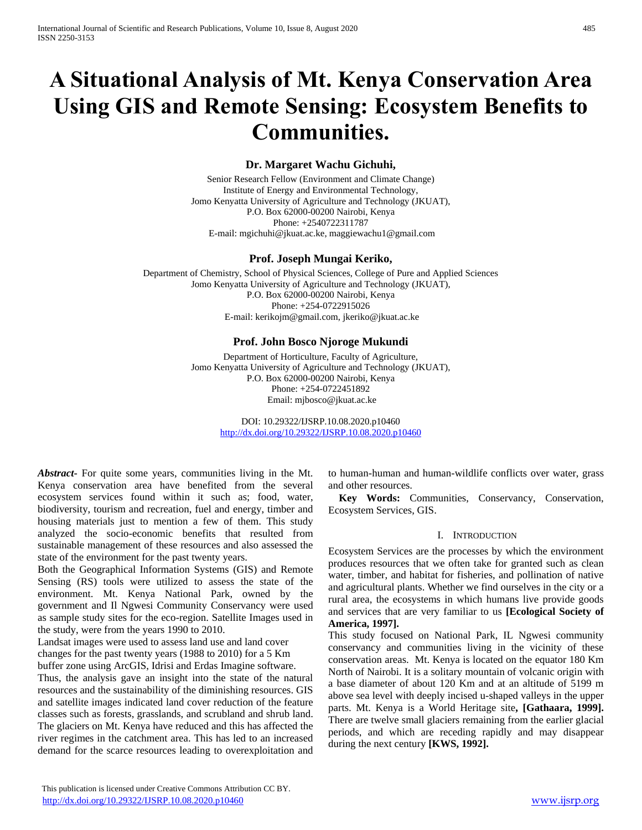# **A Situational Analysis of Mt. Kenya Conservation Area Using GIS and Remote Sensing: Ecosystem Benefits to Communities.**

# **Dr. Margaret Wachu Gichuhi,**

Senior Research Fellow (Environment and Climate Change) Institute of Energy and Environmental Technology, Jomo Kenyatta University of Agriculture and Technology (JKUAT), P.O. Box 62000-00200 Nairobi, Kenya Phone: +2540722311787 E-mail[: mgichuhi@jkuat.ac.ke,](mailto:mgichuhi@jkuat.ac.ke) [maggiewachu1@gmail.com](mailto:maggiewachu1@gmail.com) 

# **Prof. Joseph Mungai Keriko,**

Department of Chemistry, School of Physical Sciences, College of Pure and Applied Sciences Jomo Kenyatta University of Agriculture and Technology (JKUAT), P.O. Box 62000-00200 Nairobi, Kenya Phone: +254-0722915026 E-mail[: kerikojm@gmail.com,](mailto:kerikojm@gmail.com) [jkeriko@jkuat.ac.ke](mailto:jkeriko@jkuat.ac.ke)

# **Prof. John Bosco Njoroge Mukundi**

Department of Horticulture, Faculty of Agriculture, Jomo Kenyatta University of Agriculture and Technology (JKUAT), P.O. Box 62000-00200 Nairobi, Kenya Phone: +254-0722451892 Email[: mjbosco@jkuat.ac.ke](mailto:mjbosco@jkuat.ac.ke)

> DOI: 10.29322/IJSRP.10.08.2020.p10460 <http://dx.doi.org/10.29322/IJSRP.10.08.2020.p10460>

*Abstract***-** For quite some years, communities living in the Mt. Kenya conservation area have benefited from the several ecosystem services found within it such as; food, water, biodiversity, tourism and recreation, fuel and energy, timber and housing materials just to mention a few of them. This study analyzed the socio-economic benefits that resulted from sustainable management of these resources and also assessed the state of the environment for the past twenty years.

Both the Geographical Information Systems (GIS) and Remote Sensing (RS) tools were utilized to assess the state of the environment. Mt. Kenya National Park, owned by the government and Il Ngwesi Community Conservancy were used as sample study sites for the eco-region. Satellite Images used in the study, were from the years 1990 to 2010.

Landsat images were used to assess land use and land cover changes for the past twenty years (1988 to 2010) for a 5 Km buffer zone using ArcGIS, Idrisi and Erdas Imagine software.

Thus, the analysis gave an insight into the state of the natural resources and the sustainability of the diminishing resources. GIS and satellite images indicated land cover reduction of the feature classes such as forests, grasslands, and scrubland and shrub land. The glaciers on Mt. Kenya have reduced and this has affected the river regimes in the catchment area. This has led to an increased demand for the scarce resources leading to overexploitation and

to human-human and human-wildlife conflicts over water, grass and other resources.

**Key Words:** Communities, Conservancy, Conservation, Ecosystem Services, GIS.

## I. INTRODUCTION

Ecosystem Services are the processes by which the environment produces resources that we often take for granted such as clean water, timber, and habitat for fisheries, and pollination of native and agricultural plants. Whether we find ourselves in the city or a rural area, the ecosystems in which humans live provide goods and services that are very familiar to us **[Ecological Society of America, 1997].**

This study focused on National Park, IL Ngwesi community conservancy and communities living in the vicinity of these conservation areas. Mt. Kenya is located on the equator 180 Km North of Nairobi. It is a solitary mountain of volcanic origin with a base diameter of about 120 Km and at an altitude of 5199 m above sea level with deeply incised u-shaped valleys in the upper parts. Mt. Kenya is a World Heritage site**, [Gathaara, 1999].** There are twelve small glaciers remaining from the earlier glacial periods, and which are receding rapidly and may disappear during the next century **[KWS, 1992].**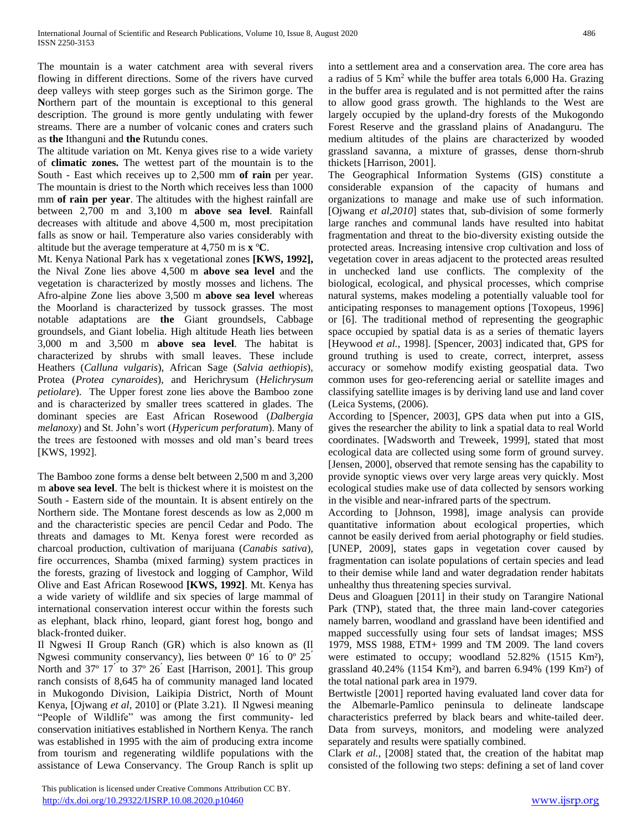The mountain is a water catchment area with several rivers flowing in different directions. Some of the rivers have curved deep valleys with steep gorges such as the Sirimon gorge. The **N**orthern part of the mountain is exceptional to this general description. The ground is more gently undulating with fewer streams. There are a number of volcanic cones and craters such as **the** Ithanguni and **the** Rutundu cones.

The altitude variation on Mt. Kenya gives rise to a wide variety of **climatic zones.** The wettest part of the mountain is to the South - East which receives up to 2,500 mm **of rain** per year. The mountain is driest to the North which receives less than 1000 mm **of rain per year**. The altitudes with the highest rainfall are between 2,700 m and 3,100 m **above sea level**. Rainfall decreases with altitude and above 4,500 m, most precipitation falls as snow or hail. Temperature also varies considerably with altitude but the average temperature at 4,750 m is **x** º**C**.

Mt. Kenya National Park has x vegetational zones **[KWS, 1992],** the Nival Zone lies above 4,500 m **above sea level** and the vegetation is characterized by mostly mosses and lichens. The Afro-alpine Zone lies above 3,500 m **above sea level** whereas the Moorland is characterized by tussock grasses. The most notable adaptations are **the** Giant groundsels, Cabbage groundsels, and Giant lobelia. High altitude Heath lies between 3,000 m and 3,500 m **above sea level**. The habitat is characterized by shrubs with small leaves. These include Heathers (*Calluna vulgaris*), African Sage (*Salvia aethiopis*), Protea (*Protea cynaroides*), and Herichrysum (*Helichrysum petiolare*). The Upper forest zone lies above the Bamboo zone and is characterized by smaller trees scattered in glades. The dominant species are East African Rosewood (*Dalbergia melanoxy*) and St. John's wort (*Hypericum perforatum*). Many of the trees are festooned with mosses and old man's beard trees [KWS, 1992].

The Bamboo zone forms a dense belt between 2,500 m and 3,200 m **above sea level**. The belt is thickest where it is moistest on the South - Eastern side of the mountain. It is absent entirely on the Northern side. The Montane forest descends as low as 2,000 m and the characteristic species are pencil Cedar and Podo. The threats and damages to Mt. Kenya forest were recorded as charcoal production, cultivation of marijuana (*Canabis sativa*), fire occurrences, Shamba (mixed farming) system practices in the forests, grazing of livestock and logging of Camphor, Wild Olive and East African Rosewood **[KWS, 1992]**. Mt. Kenya has a wide variety of wildlife and six species of large mammal of international conservation interest occur within the forests such as elephant, black rhino, leopard, giant forest hog, bongo and black-fronted duiker.

Il Ngwesi II Group Ranch (GR) which is also known as (Il Ngwesi community conservancy), lies between  $0^{\circ}$  16 <sup> $\prime$ </sup> to  $0^{\circ}$  25<sup> $\prime$ </sup> North and 37º 17 ́ to 37º 26 ́ East [Harrison, 2001]. This group ranch consists of 8,645 ha of community managed land located in Mukogondo Division, Laikipia District, North of Mount Kenya, [Ojwang *et al,* 2010] or (Plate 3.21). Il Ngwesi meaning "People of Wildlife" was among the first community- led conservation initiatives established in Northern Kenya. The ranch was established in 1995 with the aim of producing extra income from tourism and regenerating wildlife populations with the assistance of Lewa Conservancy. The Group Ranch is split up

This publication is licensed under Creative Commons Attribution CC BY.

<http://dx.doi.org/10.29322/IJSRP.10.08.2020.p10460> [www.ijsrp.org](http://ijsrp.org/)

into a settlement area and a conservation area. The core area has a radius of 5 Km<sup>2</sup> while the buffer area totals 6,000 Ha. Grazing in the buffer area is regulated and is not permitted after the rains to allow good grass growth. The highlands to the West are largely occupied by the upland-dry forests of the Mukogondo Forest Reserve and the grassland plains of Anadanguru. The medium altitudes of the plains are characterized by wooded grassland savanna, a mixture of grasses, dense thorn-shrub thickets [Harrison, 2001].

The Geographical Information Systems (GIS) constitute a considerable expansion of the capacity of humans and organizations to manage and make use of such information. [Ojwang *et al,2010*] states that, sub-division of some formerly large ranches and communal lands have resulted into habitat fragmentation and threat to the bio-diversity existing outside the protected areas. Increasing intensive crop cultivation and loss of vegetation cover in areas adjacent to the protected areas resulted in unchecked land use conflicts. The complexity of the biological, ecological, and physical processes, which comprise natural systems, makes modeling a potentially valuable tool for anticipating responses to management options [Toxopeus, 1996] or [6]. The traditional method of representing the geographic space occupied by spatial data is as a series of thematic layers [Heywood *et al.,* 1998]. [Spencer, 2003] indicated that, GPS for ground truthing is used to create, correct, interpret, assess accuracy or somehow modify existing geospatial data. Two common uses for geo-referencing aerial or satellite images and classifying satellite images is by deriving land use and land cover (Leica Systems, (2006).

According to [Spencer, 2003], GPS data when put into a GIS, gives the researcher the ability to link a spatial data to real World coordinates. [Wadsworth and Treweek, 1999], stated that most ecological data are collected using some form of ground survey. [Jensen, 2000], observed that remote sensing has the capability to provide synoptic views over very large areas very quickly. Most ecological studies make use of data collected by sensors working in the visible and near-infrared parts of the spectrum.

According to [Johnson, 1998], image analysis can provide quantitative information about ecological properties, which cannot be easily derived from aerial photography or field studies. [UNEP, 2009], states gaps in vegetation cover caused by fragmentation can isolate populations of certain species and lead to their demise while land and water degradation render habitats unhealthy thus threatening species survival.

Deus and Gloaguen [2011] in their study on Tarangire National Park (TNP), stated that, the three main land-cover categories namely barren, woodland and grassland have been identified and mapped successfully using four sets of landsat images; MSS 1979, MSS 1988, ETM+ 1999 and TM 2009. The land covers were estimated to occupy; woodland 52.82% (1515 Km²), grassland 40.24% (1154 Km²), and barren 6.94% (199 Km²) of the total national park area in 1979.

Bertwistle [2001] reported having evaluated land cover data for the Albemarle-Pamlico peninsula to delineate landscape characteristics preferred by black bears and white-tailed deer. Data from surveys, monitors, and modeling were analyzed separately and results were spatially combined.

Clark *et al.,* [2008] stated that, the creation of the habitat map consisted of the following two steps: defining a set of land cover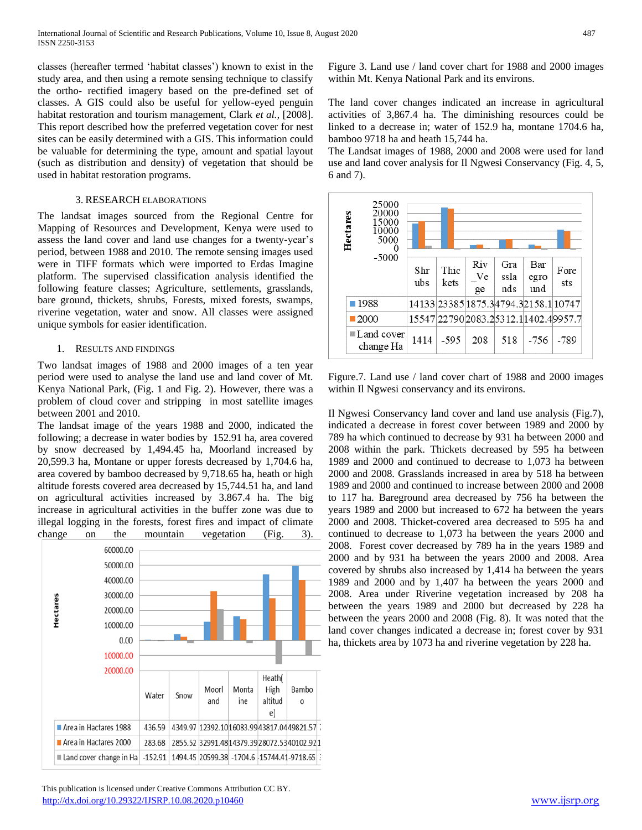classes (hereafter termed 'habitat classes') known to exist in the study area, and then using a remote sensing technique to classify the ortho- rectified imagery based on the pre-defined set of classes. A GIS could also be useful for yellow-eyed penguin habitat restoration and tourism management, Clark *et al.,* [2008]. This report described how the preferred vegetation cover for nest sites can be easily determined with a GIS. This information could be valuable for determining the type, amount and spatial layout (such as distribution and density) of vegetation that should be used in habitat restoration programs.

#### 3. RESEARCH ELABORATIONS

The landsat images sourced from the Regional Centre for Mapping of Resources and Development, Kenya were used to assess the land cover and land use changes for a twenty-year's period, between 1988 and 2010. The remote sensing images used were in TIFF formats which were imported to Erdas Imagine platform. The supervised classification analysis identified the following feature classes; Agriculture, settlements, grasslands, bare ground, thickets, shrubs, Forests, mixed forests, swamps, riverine vegetation, water and snow. All classes were assigned unique symbols for easier identification.

#### 1. RESULTS AND FINDINGS

Two landsat images of 1988 and 2000 images of a ten year period were used to analyse the land use and land cover of Mt. Kenya National Park, (Fig. 1 and Fig. 2). However, there was a problem of cloud cover and stripping in most satellite images between 2001 and 2010.

The landsat image of the years 1988 and 2000, indicated the following; a decrease in water bodies by 152.91 ha, area covered by snow decreased by 1,494.45 ha, Moorland increased by 20,599.3 ha, Montane or upper forests decreased by 1,704.6 ha, area covered by bamboo decreased by 9,718.65 ha, heath or high altitude forests covered area decreased by 15,744.51 ha, and land on agricultural activities increased by 3.867.4 ha. The big increase in agricultural activities in the buffer zone was due to illegal logging in the forests, forest fires and impact of climate change on the mountain vegetation (Fig. 3).



 This publication is licensed under Creative Commons Attribution CC BY. <http://dx.doi.org/10.29322/IJSRP.10.08.2020.p10460> [www.ijsrp.org](http://ijsrp.org/)

Figure 3. Land use / land cover chart for 1988 and 2000 images within Mt. Kenya National Park and its environs.

The land cover changes indicated an increase in agricultural activities of 3,867.4 ha. The diminishing resources could be linked to a decrease in; water of 152.9 ha, montane 1704.6 ha, bamboo 9718 ha and heath 15,744 ha.

The Landsat images of 1988, 2000 and 2008 were used for land use and land cover analysis for Il Ngwesi Conservancy (Fig. 4, 5, 6 and 7).



Figure.7. Land use / land cover chart of 1988 and 2000 images within Il Ngwesi conservancy and its environs.

Il Ngwesi Conservancy land cover and land use analysis (Fig.7), indicated a decrease in forest cover between 1989 and 2000 by 789 ha which continued to decrease by 931 ha between 2000 and 2008 within the park. Thickets decreased by 595 ha between 1989 and 2000 and continued to decrease to 1,073 ha between 2000 and 2008. Grasslands increased in area by 518 ha between 1989 and 2000 and continued to increase between 2000 and 2008 to 117 ha. Bareground area decreased by 756 ha between the years 1989 and 2000 but increased to 672 ha between the years 2000 and 2008. Thicket-covered area decreased to 595 ha and continued to decrease to 1,073 ha between the years 2000 and 2008. Forest cover decreased by 789 ha in the years 1989 and 2000 and by 931 ha between the years 2000 and 2008. Area covered by shrubs also increased by 1,414 ha between the years 1989 and 2000 and by 1,407 ha between the years 2000 and 2008. Area under Riverine vegetation increased by 208 ha between the years 1989 and 2000 but decreased by 228 ha between the years 2000 and 2008 (Fig. 8). It was noted that the land cover changes indicated a decrease in; forest cover by 931 ha, thickets area by 1073 ha and riverine vegetation by 228 ha.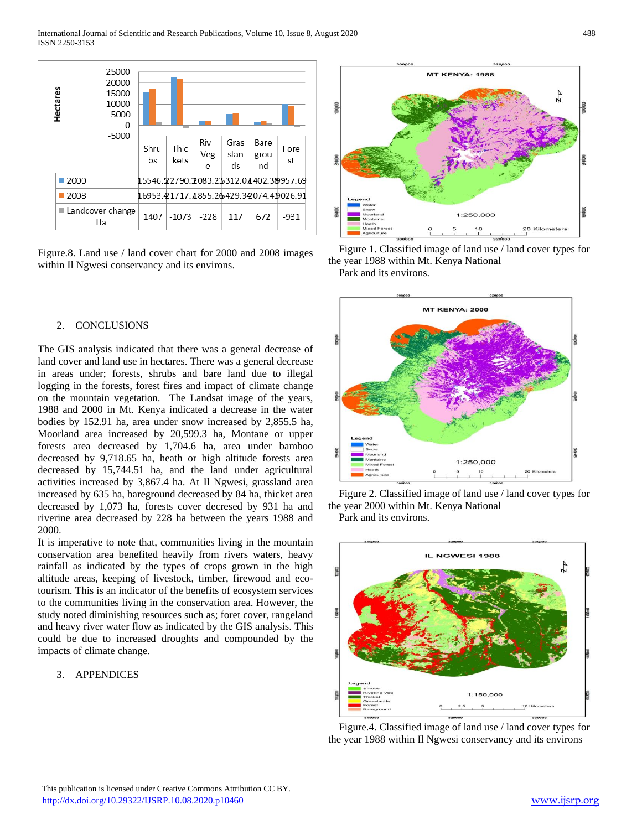

Figure.8. Land use / land cover chart for 2000 and 2008 images within Il Ngwesi conservancy and its environs.

#### 2. CONCLUSIONS

The GIS analysis indicated that there was a general decrease of land cover and land use in hectares. There was a general decrease in areas under; forests, shrubs and bare land due to illegal logging in the forests, forest fires and impact of climate change on the mountain vegetation. The Landsat image of the years, 1988 and 2000 in Mt. Kenya indicated a decrease in the water bodies by 152.91 ha, area under snow increased by 2,855.5 ha, Moorland area increased by 20,599.3 ha, Montane or upper forests area decreased by 1,704.6 ha, area under bamboo decreased by 9,718.65 ha, heath or high altitude forests area decreased by 15,744.51 ha, and the land under agricultural activities increased by 3,867.4 ha. At Il Ngwesi, grassland area increased by 635 ha, bareground decreased by 84 ha, thicket area decreased by 1,073 ha, forests cover decresed by 931 ha and riverine area decreased by 228 ha between the years 1988 and 2000.

It is imperative to note that, communities living in the mountain conservation area benefited heavily from rivers waters, heavy rainfall as indicated by the types of crops grown in the high altitude areas, keeping of livestock, timber, firewood and ecotourism. This is an indicator of the benefits of ecosystem services to the communities living in the conservation area. However, the study noted diminishing resources such as; foret cover, rangeland and heavy river water flow as indicated by the GIS analysis. This could be due to increased droughts and compounded by the impacts of climate change.

#### 3. APPENDICES



Figure 1. Classified image of land use / land cover types for the year 1988 within Mt. Kenya National Park and its environs.







Figure.4. Classified image of land use / land cover types for the year 1988 within Il Ngwesi conservancy and its environs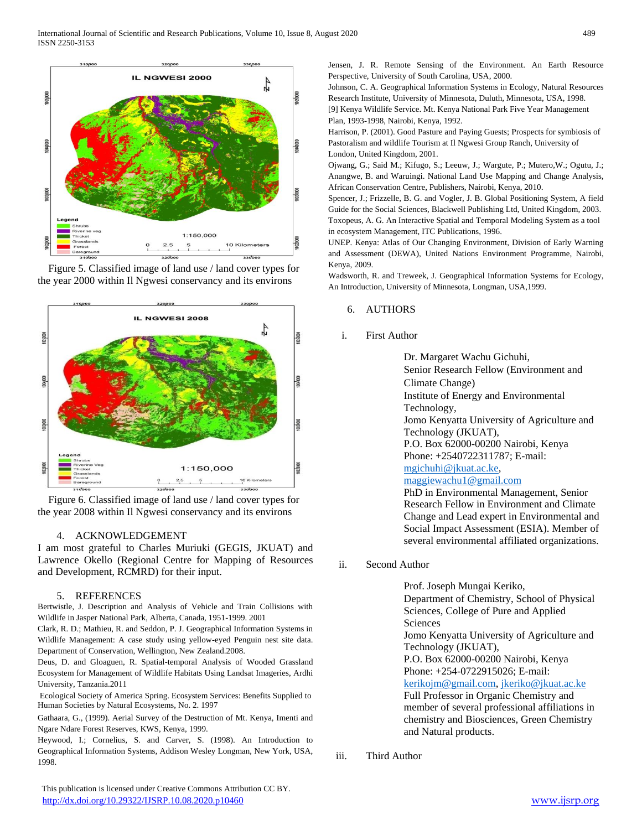

Figure 5. Classified image of land use / land cover types for the year 2000 within Il Ngwesi conservancy and its environs



Figure 6. Classified image of land use / land cover types for the year 2008 within Il Ngwesi conservancy and its environs

## 4. ACKNOWLEDGEMENT

I am most grateful to Charles Muriuki (GEGIS, JKUAT) and Lawrence Okello (Regional Centre for Mapping of Resources and Development, RCMRD) for their input.

#### 5. REFERENCES

Bertwistle, J. Description and Analysis of Vehicle and Train Collisions with Wildlife in Jasper National Park, Alberta, Canada, 1951-1999. 2001

Clark, R. D.; Mathieu, R. and Seddon, P. J. Geographical Information Systems in Wildlife Management: A case study using yellow-eyed Penguin nest site data. Department of Conservation, Wellington, New Zealand.2008.

Deus, D. and Gloaguen, R. Spatial-temporal Analysis of Wooded Grassland Ecosystem for Management of Wildlife Habitats Using Landsat Imageries, Ardhi University, Tanzania.2011

Ecological Society of America Spring. Ecosystem Services: Benefits Supplied to Human Societies by Natural Ecosystems, No. 2. 1997

Gathaara, G., (1999). Aerial Survey of the Destruction of Mt. Kenya, Imenti and Ngare Ndare Forest Reserves, KWS, Kenya, 1999.

Heywood, I.; Cornelius, S. and Carver, S. (1998). An Introduction to Geographical Information Systems, Addison Wesley Longman, New York, USA, 1998.

 This publication is licensed under Creative Commons Attribution CC BY. <http://dx.doi.org/10.29322/IJSRP.10.08.2020.p10460> [www.ijsrp.org](http://ijsrp.org/)

Jensen, J. R. Remote Sensing of the Environment. An Earth Resource Perspective, University of South Carolina, USA, 2000.

Johnson, C. A. Geographical Information Systems in Ecology, Natural Resources Research Institute, University of Minnesota, Duluth, Minnesota, USA, 1998.

[9] Kenya Wildlife Service. Mt. Kenya National Park Five Year Management Plan, 1993-1998, Nairobi, Kenya, 1992.

Harrison, P. (2001). Good Pasture and Paying Guests; Prospects for symbiosis of Pastoralism and wildlife Tourism at Il Ngwesi Group Ranch, University of London, United Kingdom, 2001.

Ojwang, G.; Said M.; Kifugo, S.; Leeuw, J.; Wargute, P.; Mutero,W.; Ogutu, J.; Anangwe, B. and Waruingi. National Land Use Mapping and Change Analysis, African Conservation Centre, Publishers, Nairobi, Kenya, 2010.

Spencer, J.; Frizzelle, B. G. and Vogler, J. B. Global Positioning System, A field Guide for the Social Sciences, Blackwell Publishing Ltd, United Kingdom, 2003. Toxopeus, A. G. An Interactive Spatial and Temporal Modeling System as a tool in ecosystem Management, ITC Publications, 1996.

UNEP. Kenya: Atlas of Our Changing Environment, Division of Early Warning and Assessment (DEWA), United Nations Environment Programme, Nairobi, Kenya, 2009.

Wadsworth, R. and Treweek, J. Geographical Information Systems for Ecology, An Introduction, University of Minnesota, Longman, USA,1999.

#### 6. AUTHORS

## i. First Author

Dr. Margaret Wachu Gichuhi, Senior Research Fellow (Environment and Climate Change) Institute of Energy and Environmental Technology, Jomo Kenyatta University of Agriculture and Technology (JKUAT), P.O. Box 62000-00200 Nairobi, Kenya Phone: +2540722311787; E-mail: [mgichuhi@jkuat.ac.ke,](mailto:mgichuhi@jkuat.ac.ke) [maggiewachu1@gmail.com](mailto:maggiewachu1@gmail.com) PhD in Environmental Management, Senior Research Fellow in Environment and Climate Change and Lead expert in Environmental and Social Impact Assessment (ESIA). Member of

several environmental affiliated organizations.

ii. Second Author

Prof. Joseph Mungai Keriko, Department of Chemistry, School of Physical Sciences, College of Pure and Applied **Sciences** Jomo Kenyatta University of Agriculture and Technology (JKUAT), P.O. Box 62000-00200 Nairobi, Kenya Phone: +254-0722915026; E-mail: [kerikojm@gmail.com,](mailto:kerikojm@gmail.com) [jkeriko@jkuat.ac.ke](mailto:jkeriko@jkuat.ac.ke) Full Professor in Organic Chemistry and member of several professional affiliations in chemistry and Biosciences, Green Chemistry and Natural products.

iii. Third Author